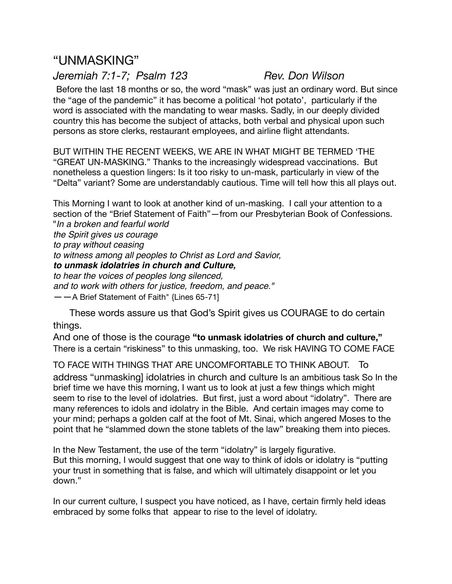# "UNMASKING"

## *Jeremiah 7:1-7; Psalm 123 Rev. Don Wilson*

Before the last 18 months or so, the word "mask" was just an ordinary word. But since the "age of the pandemic" it has become a political 'hot potato', particularly if the word is associated with the mandating to wear masks. Sadly, in our deeply divided country this has become the subject of attacks, both verbal and physical upon such persons as store clerks, restaurant employees, and airline flight attendants.

BUT WITHIN THE RECENT WEEKS, WE ARE IN WHAT MIGHT BE TERMED 'THE "GREAT UN-MASKING." Thanks to the increasingly widespread vaccinations. But nonetheless a question lingers: Is it too risky to un-mask, particularly in view of the "Delta" variant? Some are understandably cautious. Time will tell how this all plays out.

This Morning I want to look at another kind of un-masking. I call your attention to a section of the "Brief Statement of Faith"—from our Presbyterian Book of Confessions. "*In a broken and fearful world the Spirit gives us courage to pray without ceasing to witness among all peoples to Christ as Lord and Savior, to unmask idolatries in church and Culture, to hear the voices of peoples long silenced, and to work with others for justice, freedom, and peace."*  ——A Brief Statement of Faith" {Lines 65-71]

 These words assure us that God's Spirit gives us COURAGE to do certain things.

And one of those is the courage **"to unmask idolatries of church and culture,"**  There is a certain "riskiness" to this unmasking, too.We risk HAVING TO COME FACE

TO FACE WITH THINGS THAT ARE UNCOMFORTABLE TO THINK ABOUT. To address "unmasking] idolatries in church and culture Is an ambitious task So In the brief time we have this morning, I want us to look at just a few things which might seem to rise to the level of idolatries. But first, just a word about "idolatry". There are many references to idols and idolatry in the Bible. And certain images may come to your mind; perhaps a golden calf at the foot of Mt. Sinai, which angered Moses to the point that he "slammed down the stone tablets of the law" breaking them into pieces.

In the New Testament, the use of the term "idolatry" is largely figurative. But this morning, I would suggest that one way to think of idols or idolatry is "putting your trust in something that is false, and which will ultimately disappoint or let you down."

In our current culture, I suspect you have noticed, as I have, certain firmly held ideas embraced by some folks that appear to rise to the level of idolatry.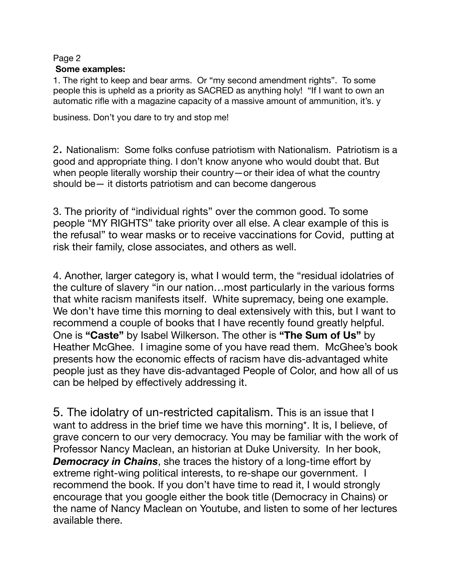#### Page 2

#### **Some examples:**

1. The right to keep and bear arms. Or "my second amendment rights". To some people this is upheld as a priority as SACRED as anything holy! "If I want to own an automatic rifle with a magazine capacity of a massive amount of ammunition, it's. y

business. Don't you dare to try and stop me!

2. Nationalism: Some folks confuse patriotism with Nationalism. Patriotism is a good and appropriate thing. I don't know anyone who would doubt that. But when people literally worship their country—or their idea of what the country should be— it distorts patriotism and can become dangerous

3. The priority of "individual rights" over the common good. To some people "MY RIGHTS" take priority over all else. A clear example of this is the refusal" to wear masks or to receive vaccinations for Covid, putting at risk their family, close associates, and others as well.

4. Another, larger category is, what I would term, the "residual idolatries of the culture of slavery "in our nation…most particularly in the various forms that white racism manifests itself. White supremacy, being one example. We don't have time this morning to deal extensively with this, but I want to recommend a couple of books that I have recently found greatly helpful. One is **"Caste"** by Isabel Wilkerson. The other is **"The Sum of Us"** by Heather McGhee. I imagine some of you have read them. McGhee's book presents how the economic effects of racism have dis-advantaged white people just as they have dis-advantaged People of Color, and how all of us can be helped by effectively addressing it.

5. The idolatry of un-restricted capitalism. This is an issue that I want to address in the brief time we have this morning\*. It is, I believe, of grave concern to our very democracy. You may be familiar with the work of Professor Nancy Maclean, an historian at Duke University. In her book, *Democracy in Chains*, she traces the history of a long-time effort by extreme right-wing political interests, to re-shape our government. I recommend the book. If you don't have time to read it, I would strongly encourage that you google either the book title (Democracy in Chains) or the name of Nancy Maclean on Youtube, and listen to some of her lectures available there.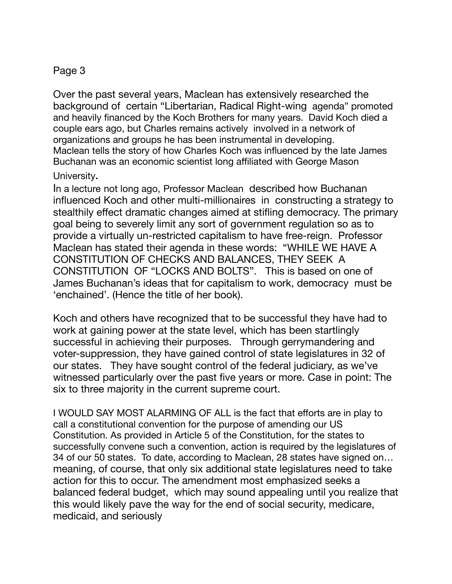## Page 3

Over the past several years, Maclean has extensively researched the background of certain "Libertarian, Radical Right-wing agenda" promoted and heavily financed by the Koch Brothers for many years. David Koch died a couple ears ago, but Charles remains actively involved in a network of organizations and groups he has been instrumental in developing. Maclean tells the story of how Charles Koch was influenced by the late James Buchanan was an economic scientist long affiliated with George Mason

University.

In a lecture not long ago, Professor Maclean described how Buchanan influenced Koch and other multi-millionaires in constructing a strategy to stealthily effect dramatic changes aimed at stifling democracy. The primary goal being to severely limit any sort of government regulation so as to provide a virtually un-restricted capitalism to have free-reign. Professor Maclean has stated their agenda in these words: "WHILE WE HAVE A CONSTITUTION OF CHECKS AND BALANCES, THEY SEEK A CONSTITUTION OF "LOCKS AND BOLTS". This is based on one of James Buchanan's ideas that for capitalism to work, democracy must be 'enchained'. (Hence the title of her book).

Koch and others have recognized that to be successful they have had to work at gaining power at the state level, which has been startlingly successful in achieving their purposes. Through gerrymandering and voter-suppression, they have gained control of state legislatures in 32 of our states. They have sought control of the federal judiciary, as we've witnessed particularly over the past five years or more. Case in point: The six to three majority in the current supreme court.

I WOULD SAY MOST ALARMING OF ALL is the fact that efforts are in play to call a constitutional convention for the purpose of amending our US Constitution. As provided in Article 5 of the Constitution, for the states to successfully convene such a convention, action is required by the legislatures of 34 of our 50 states. To date, according to Maclean, 28 states have signed on… meaning, of course, that only six additional state legislatures need to take action for this to occur. The amendment most emphasized seeks a balanced federal budget, which may sound appealing until you realize that this would likely pave the way for the end of social security, medicare, medicaid, and seriously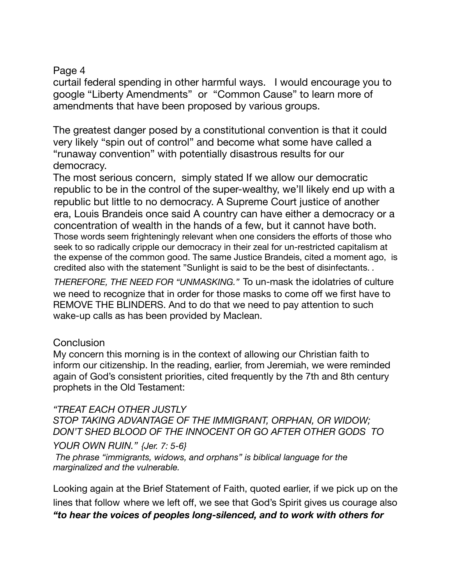## Page 4

curtail federal spending in other harmful ways. I would encourage you to google "Liberty Amendments" or "Common Cause" to learn more of amendments that have been proposed by various groups.

The greatest danger posed by a constitutional convention is that it could very likely "spin out of control" and become what some have called a "runaway convention" with potentially disastrous results for our democracy.

The most serious concern, simply stated If we allow our democratic republic to be in the control of the super-wealthy, we'll likely end up with a republic but little to no democracy. A Supreme Court justice of another era, Louis Brandeis once said A country can have either a democracy or a concentration of wealth in the hands of a few, but it cannot have both. Those words seem frighteningly relevant when one considers the efforts of those who seek to so radically cripple our democracy in their zeal for un-restricted capitalism at the expense of the common good. The same Justice Brandeis, cited a moment ago, is credited also with the statement "Sunlight is said to be the best of disinfectants. *.* 

*THEREFORE, THE NEED FOR "UNMASKING."* To un-mask the idolatries of culture we need to recognize that in order for those masks to come off we first have to REMOVE THE BLINDERS. And to do that we need to pay attention to such wake-up calls as has been provided by Maclean.

## **Conclusion**

My concern this morning is in the context of allowing our Christian faith to inform our citizenship. In the reading, earlier, from Jeremiah, we were reminded again of God's consistent priorities, cited frequently by the 7th and 8th century prophets in the Old Testament:

## *"TREAT EACH OTHER JUSTLY*

*STOP TAKING ADVANTAGE OF THE IMMIGRANT, ORPHAN, OR WIDOW; DON'T SHED BLOOD OF THE INNOCENT OR GO AFTER OTHER GODS TO* 

*YOUR OWN RUIN." {Jer. 7: 5-6}* 

 *The phrase "immigrants, widows, and orphans" is biblical language for the marginalized and the vulnerable.* 

Looking again at the Brief Statement of Faith, quoted earlier, if we pick up on the lines that follow where we left off, we see that God's Spirit gives us courage also *"to hear the voices of peoples long-silenced, and to work with others for*